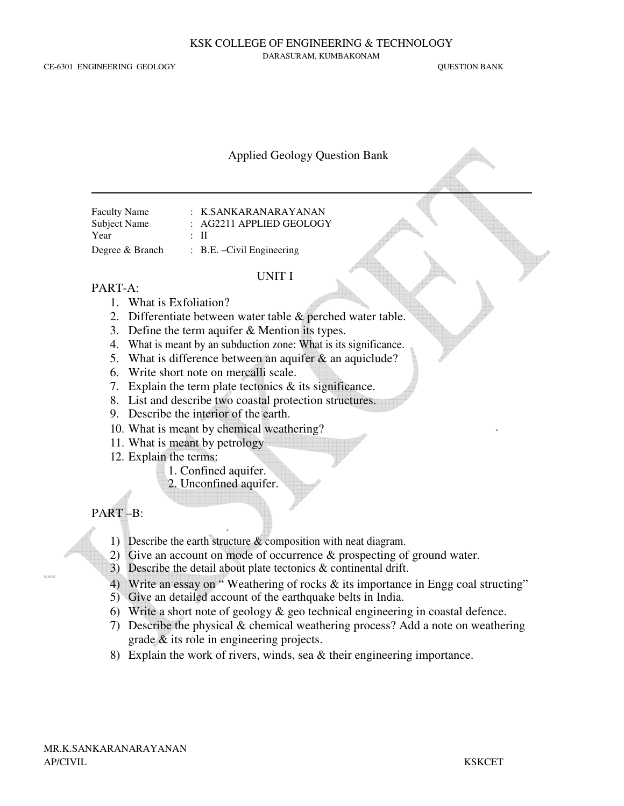CE-6301 ENGINEERING GEOLOGY QUESTION BANK

KSK COLLEGE OF ENGINEERING & TECHNOLOGY

DARASURAM, KUMBAKONAM

#### Applied Geology Question Bank

| <b>Faculty Name</b> |  | : K.SANKARANARAYANAN                  |
|---------------------|--|---------------------------------------|
| Subject Name        |  | $: AG2211$ APPLIED GEOLOGY            |
| Year                |  | : Н                                   |
| Degree & Branch     |  | $\therefore$ B.E. - Civil Engineering |

#### UNIT I

#### PART-A:

- 1. What is Exfoliation?
- 2. Differentiate between water table & perched water table.
- 3. Define the term aquifer & Mention its types.
- 4. What is meant by an subduction zone: What is its significance.
- 5. What is difference between an aquifer & an aquiclude?
- 6. Write short note on mercalli scale.
- 7. Explain the term plate tectonics & its significance.
- 8. List and describe two coastal protection structures.
- 9. Describe the interior of the earth.
- 10. What is meant by chemical weathering?
- 11. What is meant by petrology
- 12. Explain the terms:
	- 1. Confined aquifer.
	- 2. Unconfined aquifer.

# PART –B: .

www

- 1) Describe the earth structure & composition with neat diagram.
- 2) Give an account on mode of occurrence & prospecting of ground water.
- 3) Describe the detail about plate tectonics  $\&$  continental drift.
- 4) Write an essay on " Weathering of rocks & its importance in Engg coal structing"
- 5) Give an detailed account of the earthquake belts in India.
- 6) Write a short note of geology  $\&$  geo technical engineering in coastal defence.
- 7) Describe the physical & chemical weathering process? Add a note on weathering grade & its role in engineering projects.
- 8) Explain the work of rivers, winds, sea & their engineering importance.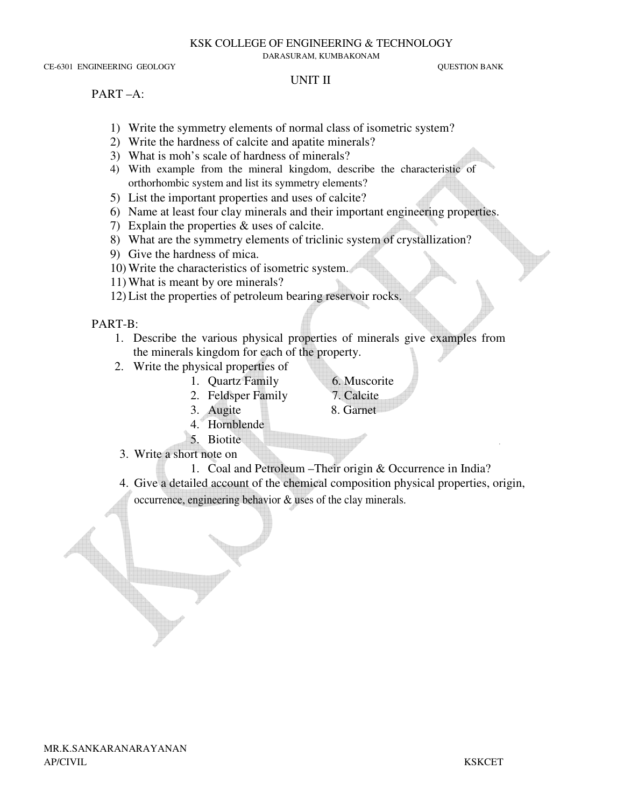DARASURAM, KUMBAKONAM

CE-6301 ENGINEERING GEOLOGY QUESTION BANK

# UNIT II

## PART –A:

- 1) Write the symmetry elements of normal class of isometric system?
- 2) Write the hardness of calcite and apatite minerals?
- 3) What is moh's scale of hardness of minerals?
- 4) With example from the mineral kingdom, describe the characteristic of orthorhombic system and list its symmetry elements?
- 5) List the important properties and uses of calcite?
- 6) Name at least four clay minerals and their important engineering properties.
- 7) Explain the properties & uses of calcite.
- 8) What are the symmetry elements of triclinic system of crystallization?
- 9) Give the hardness of mica.
- 10) Write the characteristics of isometric system.
- 11) What is meant by ore minerals?
- 12) List the properties of petroleum bearing reservoir rocks.

# PART-B:

- 1. Describe the various physical properties of minerals give examples from the minerals kingdom for each of the property.
- 2. Write the physical properties of
	- 1. Quartz Family 6. Muscorite
		- 2. Feldsper Family 7. Calcite
- -
	- 3. Augite 8. Garnet
	- 4. Hornblende
- 5. Biotite  $\lambda$ . Blottle
	- 3. Write a short note on
		- 1. Coal and Petroleum –Their origin & Occurrence in India?
	- 4. Give a detailed account of the chemical composition physical properties, origin, occurrence, engineering behavior & uses of the clay minerals.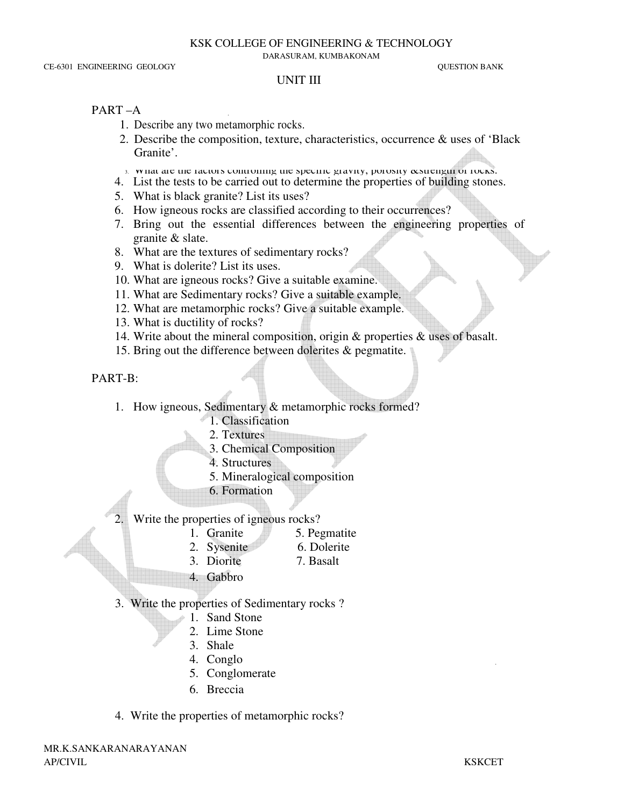DARASURAM, KUMBAKONAM

#### UNIT III

### PART –A .

- 1. Describe any two metamorphic rocks.
- 2. Describe the composition, texture, characteristics, occurrence & uses of 'Black Granite'.
- 3. What are the factors controlling the specific gravity, porosity ecstrength of rocks.
- 4. List the tests to be carried out to determine the properties of building stones.
- 5. What is black granite? List its uses?
- 6. How igneous rocks are classified according to their occurrences?
- 7. Bring out the essential differences between the engineering properties of granite & slate.
- 8. What are the textures of sedimentary rocks?
- 9. What is dolerite? List its uses.
- 10. What are igneous rocks? Give a suitable examine.
- 11. What are Sedimentary rocks? Give a suitable example.
- 12. What are metamorphic rocks? Give a suitable example.
- 13. What is ductility of rocks?
- 14. Write about the mineral composition, origin & properties & uses of basalt.
- 15. Bring out the difference between dolerites & pegmatite.

## PART-B:

- 1. How igneous, Sedimentary & metamorphic rocks formed?
	- 1. Classification
	- 2. Textures
	- 3. Chemical Composition
	- 4. Structures
	- 5. Mineralogical composition
	- 6. Formation
- 2. Write the properties of igneous rocks?
	- 1. Granite 5. Pegmatite
	- 2. Sysenite 6. Dolerite
	- 3. Diorite 7. Basalt
	- 4. Gabbro
- 3. Write the properties of Sedimentary rocks ?
	- 1. Sand Stone
	- 2. Lime Stone
	- 3. Shale
	- 4. Conglo .
	- 5. Conglomerate
	- 6. Breccia
- 4. Write the properties of metamorphic rocks?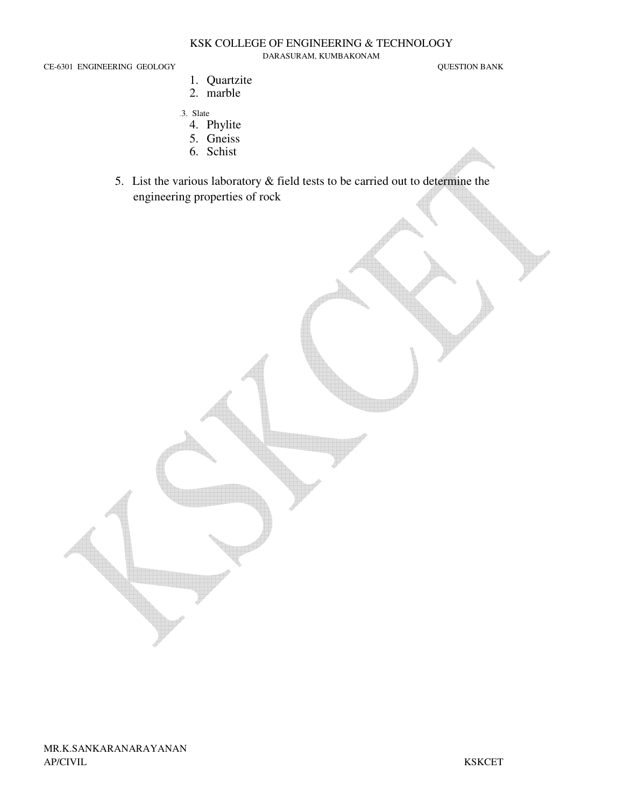DARASURAM, KUMBAKONAM

CE-6301 ENGINEERING GEOLOGY QUESTION BANK

- 1. Quartzite 2. marble
- .3. Slate
	- 4. Phylite
	- 5. Gneiss
	- 6. Schist
- 5. List the various laboratory & field tests to be carried out to determine the engineering properties of rock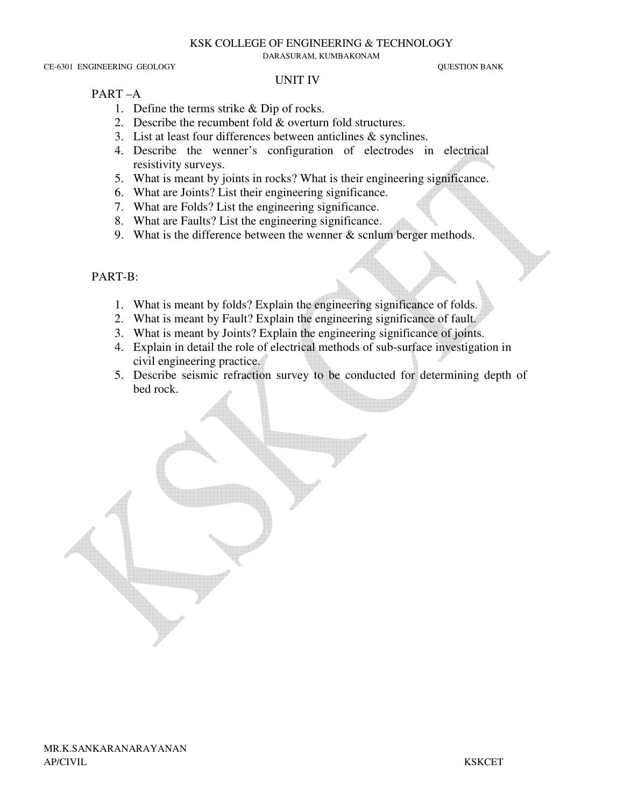#### KSK COLLEGE OF ENGINEERING & TECHNOLOGY

DARASURAM, KUMBAKONAM

CE-6301 ENGINEERING GEOLOGY QUESTION BANK

#### UNIT IV

### PART –A

- 1. Define the terms strike & Dip of rocks.
- 2. Describe the recumbent fold & overturn fold structures.
- 3. List at least four differences between anticlines & synclines.
- 4. Describe the wenner's configuration of electrodes in electrical resistivity surveys.
- 5. What is meant by joints in rocks? What is their engineering significance.
- 6. What are Joints? List their engineering significance.
- 7. What are Folds? List the engineering significance.
- 8. What are Faults? List the engineering significance.
- 9. What is the difference between the wenner  $&$  scnlum berger methods.

## PART-B:

- 1. What is meant by folds? Explain the engineering significance of folds.
- 2. What is meant by Fault? Explain the engineering significance of fault.
- 3. What is meant by Joints? Explain the engineering significance of joints.
- 4. Explain in detail the role of electrical methods of sub-surface investigation in civil engineering practice.
- 5. Describe seismic refraction survey to be conducted for determining depth of bed rock.